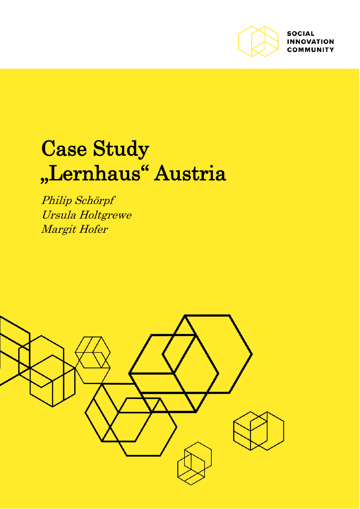

**SOCIAL INNOVATION COMMUNITY** 

# Case Study "Lernhaus" Austria

Philip Schörpf Ursula Holtgrewe Margit Hofer

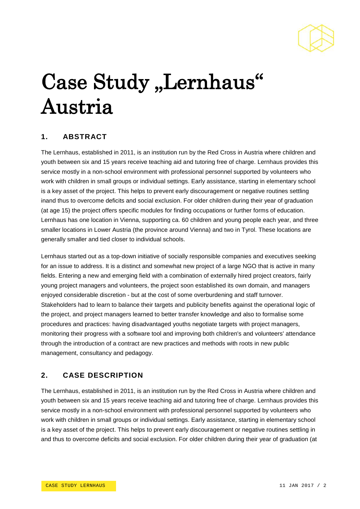

# Case Study "Lernhaus" Austria

## **1. ABSTRACT**

The Lernhaus, established in 2011, is an institution run by the Red Cross in Austria where children and youth between six and 15 years receive teaching aid and tutoring free of charge. Lernhaus provides this service mostly in a non-school environment with professional personnel supported by volunteers who work with children in small groups or individual settings. Early assistance, starting in elementary school is a key asset of the project. This helps to prevent early discouragement or negative routines settling inand thus to overcome deficits and social exclusion. For older children during their year of graduation (at age 15) the project offers specific modules for finding occupations or further forms of education. Lernhaus has one location in Vienna, supporting ca. 60 children and young people each year, and three smaller locations in Lower Austria (the province around Vienna) and two in Tyrol. These locations are generally smaller and tied closer to individual schools.

Lernhaus started out as a top-down initiative of socially responsible companies and executives seeking for an issue to address. It is a distinct and somewhat new project of a large NGO that is active in many fields. Entering a new and emerging field with a combination of externally hired project creators, fairly young project managers and volunteers, the project soon established its own domain, and managers enjoyed considerable discretion - but at the cost of some overburdening and staff turnover. Stakeholders had to learn to balance their targets and publicity benefits against the operational logic of the project, and project managers learned to better transfer knowledge and also to formalise some procedures and practices: having disadvantaged youths negotiate targets with project managers, monitoring their progress with a software tool and improving both children's and volunteers' attendance through the introduction of a contract are new practices and methods with roots in new public management, consultancy and pedagogy.

## **2. CASE DESCRIPTION**

The Lernhaus, established in 2011, is an institution run by the Red Cross in Austria where children and youth between six and 15 years receive teaching aid and tutoring free of charge. Lernhaus provides this service mostly in a non-school environment with professional personnel supported by volunteers who work with children in small groups or individual settings. Early assistance, starting in elementary school is a key asset of the project. This helps to prevent early discouragement or negative routines settling in and thus to overcome deficits and social exclusion. For older children during their year of graduation (at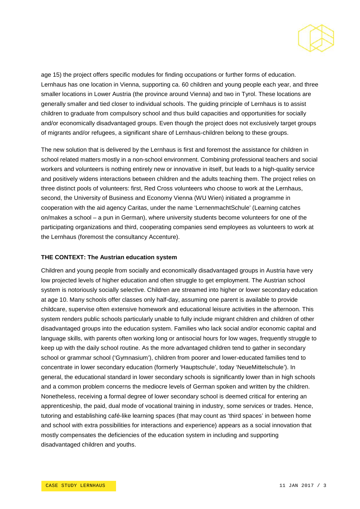

age 15) the project offers specific modules for finding occupations or further forms of education. Lernhaus has one location in Vienna, supporting ca. 60 children and young people each year, and three smaller locations in Lower Austria (the province around Vienna) and two in Tyrol. These locations are generally smaller and tied closer to individual schools. The guiding principle of Lernhaus is to assist children to graduate from compulsory school and thus build capacities and opportunities for socially and/or economically disadvantaged groups. Even though the project does not exclusively target groups of migrants and/or refugees, a significant share of Lernhaus-children belong to these groups.

The new solution that is delivered by the Lernhaus is first and foremost the assistance for children in school related matters mostly in a non-school environment. Combining professional teachers and social workers and volunteers is nothing entirely new or innovative in itself, but leads to a high-quality service and positively widens interactions between children and the adults teaching them. The project relies on three distinct pools of volunteers: first, Red Cross volunteers who choose to work at the Lernhaus, second, the University of Business and Economy Vienna (WU Wien) initiated a programme in cooperation with the aid agency Caritas, under the name 'LernenmachtSchule' (Learning catches on/makes a school – a pun in German), where university students become volunteers for one of the participating organizations and third, cooperating companies send employees as volunteers to work at the Lernhaus (foremost the consultancy Accenture).

#### **THE CONTEXT: The Austrian education system**

Children and young people from socially and economically disadvantaged groups in Austria have very low projected levels of higher education and often struggle to get employment. The Austrian school system is notoriously socially selective. Children are streamed into higher or lower secondary education at age 10. Many schools offer classes only half-day, assuming one parent is available to provide childcare, supervise often extensive homework and educational leisure activities in the afternoon. This system renders public schools particularly unable to fully include migrant children and children of other disadvantaged groups into the education system. Families who lack social and/or economic capital and language skills, with parents often working long or antisocial hours for low wages, frequently struggle to keep up with the daily school routine. As the more advantaged children tend to gather in secondary school or grammar school ('Gymnasium'), children from poorer and lower-educated families tend to concentrate in lower secondary education (formerly 'Hauptschule', today 'NeueMittelschule'). In general, the educational standard in lower secondary schools is significantly lower than in high schools and a common problem concerns the mediocre levels of German spoken and written by the children. Nonetheless, receiving a formal degree of lower secondary school is deemed critical for entering an apprenticeship, the paid, dual mode of vocational training in industry, some services or trades. Hence, tutoring and establishing café-like learning spaces (that may count as 'third spaces' in between home and school with extra possibilities for interactions and experience) appears as a social innovation that mostly compensates the deficiencies of the education system in including and supporting disadvantaged children and youths.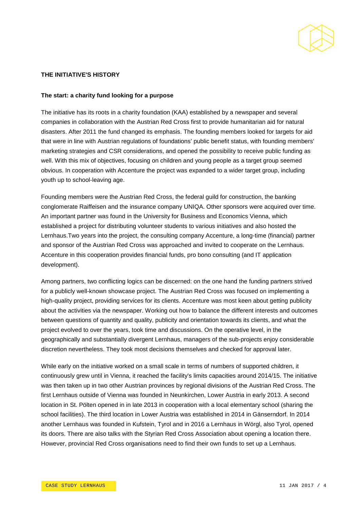

#### **THE INITIATIVE'S HISTORY**

#### **The start: a charity fund looking for a purpose**

The initiative has its roots in a charity foundation (KAA) established by a newspaper and several companies in collaboration with the Austrian Red Cross first to provide humanitarian aid for natural disasters. After 2011 the fund changed its emphasis. The founding members looked for targets for aid that were in line with Austrian regulations of foundations' public benefit status, with founding members' marketing strategies and CSR considerations, and opened the possibility to receive public funding as well. With this mix of objectives, focusing on children and young people as a target group seemed obvious. In cooperation with Accenture the project was expanded to a wider target group, including youth up to school-leaving age.

Founding members were the Austrian Red Cross, the federal guild for construction, the banking conglomerate Raiffeisen and the insurance company UNIQA. Other sponsors were acquired over time. An important partner was found in the University for Business and Economics Vienna, which established a project for distributing volunteer students to various initiatives and also hosted the Lernhaus.Two years into the project, the consulting company Accenture, a long-time (financial) partner and sponsor of the Austrian Red Cross was approached and invited to cooperate on the Lernhaus. Accenture in this cooperation provides financial funds, pro bono consulting (and IT application development).

Among partners, two conflicting logics can be discerned: on the one hand the funding partners strived for a publicly well-known showcase project. The Austrian Red Cross was focused on implementing a high-quality project, providing services for its clients. Accenture was most keen about getting publicity about the activities via the newspaper. Working out how to balance the different interests and outcomes between questions of quantity and quality, publicity and orientation towards its clients, and what the project evolved to over the years, took time and discussions. On the operative level, in the geographically and substantially divergent Lernhaus, managers of the sub-projects enjoy considerable discretion nevertheless. They took most decisions themselves and checked for approval later.

While early on the initiative worked on a small scale in terms of numbers of supported children, it continuously grew until in Vienna, it reached the facility's limits capacities around 2014/15. The initiative was then taken up in two other Austrian provinces by regional divisions of the Austrian Red Cross. The first Lernhaus outside of Vienna was founded in Neunkirchen, Lower Austria in early 2013. A second location in St. Pölten opened in in late 2013 in cooperation with a local elementary school (sharing the school facilities). The third location in Lower Austria was established in 2014 in Gänserndorf. In 2014 another Lernhaus was founded in Kufstein, Tyrol and in 2016 a Lernhaus in Wörgl, also Tyrol, opened its doors. There are also talks with the Styrian Red Cross Association about opening a location there. However, provincial Red Cross organisations need to find their own funds to set up a Lernhaus.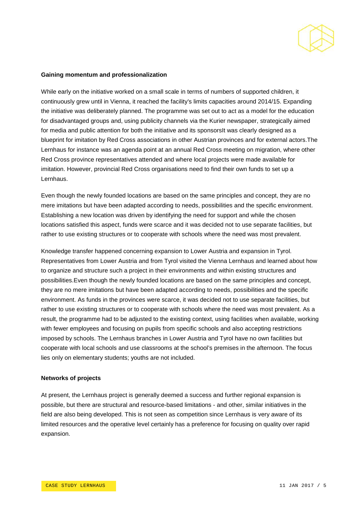

#### **Gaining momentum and professionalization**

While early on the initiative worked on a small scale in terms of numbers of supported children, it continuously grew until in Vienna, it reached the facility's limits capacities around 2014/15. Expanding the initiative was deliberately planned. The programme was set out to act as a model for the education for disadvantaged groups and, using publicity channels via the Kurier newspaper, strategically aimed for media and public attention for both the initiative and its sponsorsIt was clearly designed as a blueprint for imitation by Red Cross associations in other Austrian provinces and for external actors.The Lernhaus for instance was an agenda point at an annual Red Cross meeting on migration, where other Red Cross province representatives attended and where local projects were made available for imitation. However, provincial Red Cross organisations need to find their own funds to set up a Lernhaus.

Even though the newly founded locations are based on the same principles and concept, they are no mere imitations but have been adapted according to needs, possibilities and the specific environment. Establishing a new location was driven by identifying the need for support and while the chosen locations satisfied this aspect, funds were scarce and it was decided not to use separate facilities, but rather to use existing structures or to cooperate with schools where the need was most prevalent.

Knowledge transfer happened concerning expansion to Lower Austria and expansion in Tyrol. Representatives from Lower Austria and from Tyrol visited the Vienna Lernhaus and learned about how to organize and structure such a project in their environments and within existing structures and possibilities.Even though the newly founded locations are based on the same principles and concept, they are no mere imitations but have been adapted according to needs, possibilities and the specific environment. As funds in the provinces were scarce, it was decided not to use separate facilities, but rather to use existing structures or to cooperate with schools where the need was most prevalent. As a result, the programme had to be adjusted to the existing context, using facilities when available, working with fewer employees and focusing on pupils from specific schools and also accepting restrictions imposed by schools. The Lernhaus branches in Lower Austria and Tyrol have no own facilities but cooperate with local schools and use classrooms at the school's premises in the afternoon. The focus lies only on elementary students; youths are not included.

#### **Networks of projects**

At present, the Lernhaus project is generally deemed a success and further regional expansion is possible, but there are structural and resource-based limitations - and other, similar initiatives in the field are also being developed. This is not seen as competition since Lernhaus is very aware of its limited resources and the operative level certainly has a preference for focusing on quality over rapid expansion.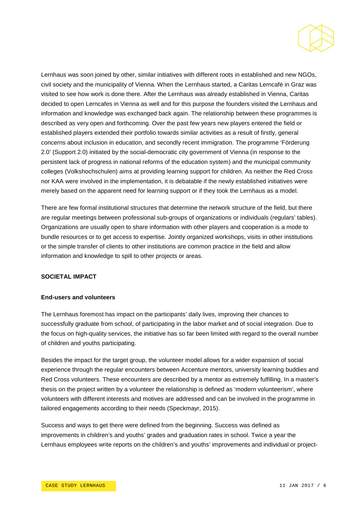

Lernhaus was soon joined by other, similar initiatives with different roots in established and new NGOs, civil society and the municipality of Vienna. When the Lernhaus started, a Caritas Lerncafé in Graz was visited to see how work is done there. After the Lernhaus was already established in Vienna, Caritas decided to open Lerncafes in Vienna as well and for this purpose the founders visited the Lernhaus and information and knowledge was exchanged back again. The relationship between these programmes is described as very open and forthcoming. Over the past few years new players entered the field or established players extended their portfolio towards similar activities as a result of firstly, general concerns about inclusion in education, and secondly recent immigration. The programme 'Förderung 2.0' (Support 2.0) initiated by the social-democratic city government of Vienna (in response to the persistent lack of progress in national reforms of the education system) and the municipal community colleges (Volkshochschulen) aims at providing learning support for children. As neither the Red Cross nor KAA were involved in the implementation, it is debatable if the newly established initiatives were merely based on the apparent need for learning support or if they took the Lernhaus as a model.

There are few formal institutional structures that determine the network structure of the field, but there are regular meetings between professional sub-groups of organizations or individuals (regulars' tables). Organizations are usually open to share information with other players and cooperation is a mode to bundle resources or to get access to expertise. Jointly organized workshops, visits in other institutions or the simple transfer of clients to other institutions are common practice in the field and allow information and knowledge to spill to other projects or areas.

#### **SOCIETAL IMPACT**

#### **End-users and volunteers**

The Lernhaus foremost has impact on the participants' daily lives, improving their chances to successfully graduate from school, of participating in the labor market and of social integration. Due to the focus on high-quality services, the initiative has so far been limited with regard to the overall number of children and youths participating.

Besides the impact for the target group, the volunteer model allows for a wider expansion of social experience through the regular encounters between Accenture mentors, university learning buddies and Red Cross volunteers. These encounters are described by a mentor as extremely fulfilling. In a master's thesis on the project written by a volunteer the relationship is defined as 'modern volunteerism', where volunteers with different interests and motives are addressed and can be involved in the programme in tailored engagements according to their needs (Speckmayr, 2015).

Success and ways to get there were defined from the beginning. Success was defined as improvements in children's and youths' grades and graduation rates in school. Twice a year the Lernhaus employees write reports on the children's and youths' improvements and individual or project-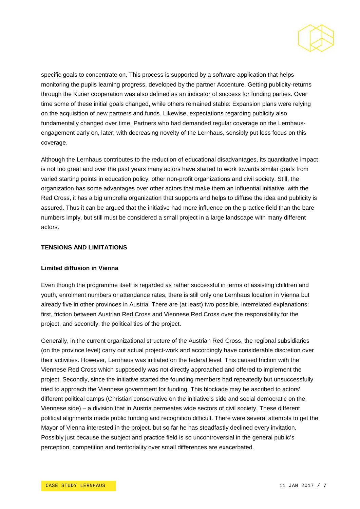

specific goals to concentrate on. This process is supported by a software application that helps monitoring the pupils learning progress, developed by the partner Accenture. Getting publicity-returns through the Kurier cooperation was also defined as an indicator of success for funding parties. Over time some of these initial goals changed, while others remained stable: Expansion plans were relying on the acquisition of new partners and funds. Likewise, expectations regarding publicity also fundamentally changed over time. Partners who had demanded regular coverage on the Lernhausengagement early on, later, with decreasing novelty of the Lernhaus, sensibly put less focus on this coverage.

Although the Lernhaus contributes to the reduction of educational disadvantages, its quantitative impact is not too great and over the past years many actors have started to work towards similar goals from varied starting points in education policy, other non-profit organizations and civil society. Still, the organization has some advantages over other actors that make them an influential initiative: with the Red Cross, it has a big umbrella organization that supports and helps to diffuse the idea and publicity is assured. Thus it can be argued that the initiative had more influence on the practice field than the bare numbers imply, but still must be considered a small project in a large landscape with many different actors.

#### **TENSIONS AND LIMITATIONS**

#### **Limited diffusion in Vienna**

Even though the programme itself is regarded as rather successful in terms of assisting children and youth, enrolment numbers or attendance rates, there is still only one Lernhaus location in Vienna but already five in other provinces in Austria. There are (at least) two possible, interrelated explanations: first, friction between Austrian Red Cross and Viennese Red Cross over the responsibility for the project, and secondly, the political ties of the project.

Generally, in the current organizational structure of the Austrian Red Cross, the regional subsidiaries (on the province level) carry out actual project-work and accordingly have considerable discretion over their activities. However, Lernhaus was initiated on the federal level. This caused friction with the Viennese Red Cross which supposedly was not directly approached and offered to implement the project. Secondly, since the initiative started the founding members had repeatedly but unsuccessfully tried to approach the Viennese government for funding. This blockade may be ascribed to actors' different political camps (Christian conservative on the initiative's side and social democratic on the Viennese side) – a division that in Austria permeates wide sectors of civil society. These different political alignments made public funding and recognition difficult. There were several attempts to get the Mayor of Vienna interested in the project, but so far he has steadfastly declined every invitation. Possibly just because the subject and practice field is so uncontroversial in the general public's perception, competition and territoriality over small differences are exacerbated.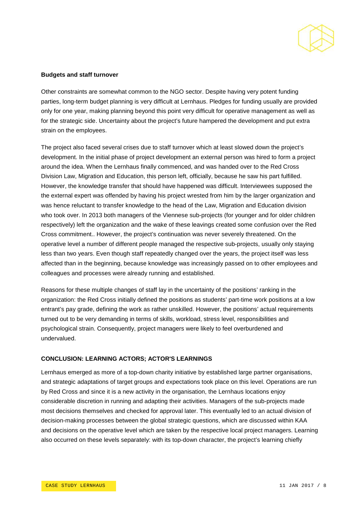

#### **Budgets and staff turnover**

Other constraints are somewhat common to the NGO sector. Despite having very potent funding parties, long-term budget planning is very difficult at Lernhaus. Pledges for funding usually are provided only for one year, making planning beyond this point very difficult for operative management as well as for the strategic side. Uncertainty about the project's future hampered the development and put extra strain on the employees.

The project also faced several crises due to staff turnover which at least slowed down the project's development. In the initial phase of project development an external person was hired to form a project around the idea. When the Lernhaus finally commenced, and was handed over to the Red Cross Division Law, Migration and Education, this person left, officially, because he saw his part fulfilled. However, the knowledge transfer that should have happened was difficult. Interviewees supposed the the external expert was offended by having his project wrested from him by the larger organization and was hence reluctant to transfer knowledge to the head of the Law, Migration and Education division who took over. In 2013 both managers of the Viennese sub-projects (for younger and for older children respectively) left the organization and the wake of these leavings created some confusion over the Red Cross commitment.. However, the project's continuation was never severely threatened. On the operative level a number of different people managed the respective sub-projects, usually only staying less than two years. Even though staff repeatedly changed over the years, the project itself was less affected than in the beginning, because knowledge was increasingly passed on to other employees and colleagues and processes were already running and established.

Reasons for these multiple changes of staff lay in the uncertainty of the positions' ranking in the organization: the Red Cross initially defined the positions as students' part-time work positions at a low entrant's pay grade, defining the work as rather unskilled. However, the positions' actual requirements turned out to be very demanding in terms of skills, workload, stress level, responsibilities and psychological strain. Consequently, project managers were likely to feel overburdened and undervalued.

#### **CONCLUSION: LEARNING ACTORS; ACTOR'S LEARNINGS**

Lernhaus emerged as more of a top-down charity initiative by established large partner organisations, and strategic adaptations of target groups and expectations took place on this level. Operations are run by Red Cross and since it is a new activity in the organisation, the Lernhaus locations enjoy considerable discretion in running and adapting their activities. Managers of the sub-projects made most decisions themselves and checked for approval later. This eventually led to an actual division of decision-making processes between the global strategic questions, which are discussed within KAA and decisions on the operative level which are taken by the respective local project managers. Learning also occurred on these levels separately: with its top-down character, the project's learning chiefly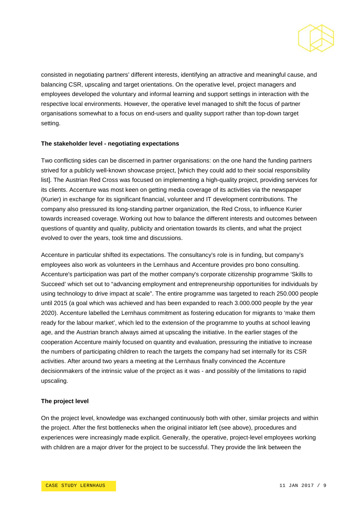

consisted in negotiating partners' different interests, identifying an attractive and meaningful cause, and balancing CSR, upscaling and target orientations. On the operative level, project managers and employees developed the voluntary and informal learning and support settings in interaction with the respective local environments. However, the operative level managed to shift the focus of partner organisations somewhat to a focus on end-users and quality support rather than top-down target setting.

#### **The stakeholder level - negotiating expectations**

Two conflicting sides can be discerned in partner organisations: on the one hand the funding partners strived for a publicly well-known showcase project, [which they could add to their social responsibility list]. The Austrian Red Cross was focused on implementing a high-quality project, providing services for its clients. Accenture was most keen on getting media coverage of its activities via the newspaper (Kurier) in exchange for its significant financial, volunteer and IT development contributions. The company also pressured its long-standing partner organization, the Red Cross, to influence Kurier towards increased coverage. Working out how to balance the different interests and outcomes between questions of quantity and quality, publicity and orientation towards its clients, and what the project evolved to over the years, took time and discussions.

Accenture in particular shifted its expectations. The consultancy's role is in funding, but company's employees also work as volunteers in the Lernhaus and Accenture provides pro bono consulting. Accenture's participation was part of the mother company's corporate citizenship programme 'Skills to Succeed' which set out to "advancing employment and entrepreneurship opportunities for individuals by using technology to drive impact at scale". The entire programme was targeted to reach 250.000 people until 2015 (a goal which was achieved and has been expanded to reach 3.000.000 people by the year 2020). Accenture labelled the Lernhaus commitment as fostering education for migrants to 'make them ready for the labour market', which led to the extension of the programme to youths at school leaving age, and the Austrian branch always aimed at upscaling the initiative. In the earlier stages of the cooperation Accenture mainly focused on quantity and evaluation, pressuring the initiative to increase the numbers of participating children to reach the targets the company had set internally for its CSR activities. After around two years a meeting at the Lernhaus finally convinced the Accenture decisionmakers of the intrinsic value of the project as it was - and possibly of the limitations to rapid upscaling.

#### **The project level**

On the project level, knowledge was exchanged continuously both with other, similar projects and within the project. After the first bottlenecks when the original initiator left (see above), procedures and experiences were increasingly made explicit. Generally, the operative, project-level employees working with children are a major driver for the project to be successful. They provide the link between the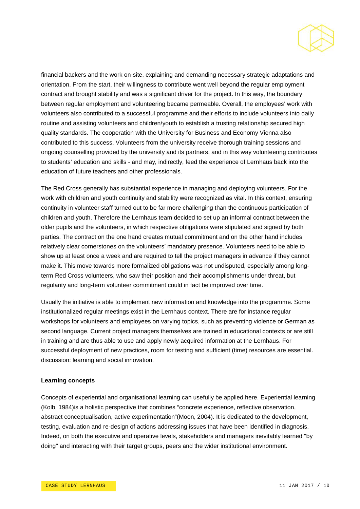

financial backers and the work on-site, explaining and demanding necessary strategic adaptations and orientation. From the start, their willingness to contribute went well beyond the regular employment contract and brought stability and was a significant driver for the project. In this way, the boundary between regular employment and volunteering became permeable. Overall, the employees' work with volunteers also contributed to a successful programme and their efforts to include volunteers into daily routine and assisting volunteers and children/youth to establish a trusting relationship secured high quality standards. The cooperation with the University for Business and Economy Vienna also contributed to this success. Volunteers from the university receive thorough training sessions and ongoing counselling provided by the university and its partners, and in this way volunteering contributes to students' education and skills - and may, indirectly, feed the experience of Lernhaus back into the education of future teachers and other professionals.

The Red Cross generally has substantial experience in managing and deploying volunteers. For the work with children and youth continuity and stability were recognized as vital. In this context, ensuring continuity in volunteer staff turned out to be far more challenging than the continuous participation of children and youth. Therefore the Lernhaus team decided to set up an informal contract between the older pupils and the volunteers, in which respective obligations were stipulated and signed by both parties. The contract on the one hand creates mutual commitment and on the other hand includes relatively clear cornerstones on the volunteers' mandatory presence. Volunteers need to be able to show up at least once a week and are required to tell the project managers in advance if they cannot make it. This move towards more formalized obligations was not undisputed, especially among longterm Red Cross volunteers, who saw their position and their accomplishments under threat, but regularity and long-term volunteer commitment could in fact be improved over time.

Usually the initiative is able to implement new information and knowledge into the programme. Some institutionalized regular meetings exist in the Lernhaus context. There are for instance regular workshops for volunteers and employees on varying topics, such as preventing violence or German as second language. Current project managers themselves are trained in educational contexts or are still in training and are thus able to use and apply newly acquired information at the Lernhaus. For successful deployment of new practices, room for testing and sufficient (time) resources are essential. discussion: learning and social innovation.

#### **Learning concepts**

Concepts of experiential and organisational learning can usefully be applied here. Experiential learning (Kolb, 1984)is a holistic perspective that combines "concrete experience, reflective observation, abstract conceptualisation, active experimentation"(Moon, 2004). It is dedicated to the development, testing, evaluation and re-design of actions addressing issues that have been identified in diagnosis. Indeed, on both the executive and operative levels, stakeholders and managers inevitably learned "by doing" and interacting with their target groups, peers and the wider institutional environment.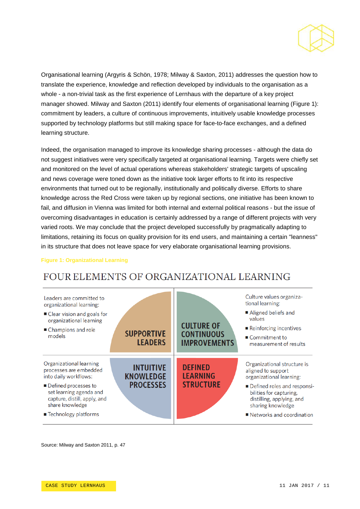

Organisational learning (Argyris & Schön, 1978; Milway & Saxton, 2011) addresses the question how to translate the experience, knowledge and reflection developed by individuals to the organisation as a whole - a non-trivial task as the first experience of Lernhaus with the departure of a key project manager showed. Milway and Saxton (2011) identify four elements of organisational learning (Figure 1): commitment by leaders, a culture of continuous improvements, intuitively usable knowledge processes supported by technology platforms but still making space for face-to-face exchanges, and a defined learning structure.

Indeed, the organisation managed to improve its knowledge sharing processes - although the data do not suggest initiatives were very specifically targeted at organisational learning. Targets were chiefly set and monitored on the level of actual operations whereas stakeholders' strategic targets of upscaling and news coverage were toned down as the initiative took larger efforts to fit into its respective environments that turned out to be regionally, institutionally and politically diverse. Efforts to share knowledge across the Red Cross were taken up by regional sections, one initiative has been known to fail, and diffusion in Vienna was limited for both internal and external political reasons - but the issue of overcoming disadvantages in education is certainly addressed by a range of different projects with very varied roots. We may conclude that the project developed successfully by pragmatically adapting to limitations, retaining its focus on quality provision for its end users, and maintaining a certain "leanness" in its structure that does not leave space for very elaborate organisational learning provisions.

#### **Figure 1: Organizational Learning**

# FOUR ELEMENTS OF ORGANIZATIONAL LEARNING



Source: Milway and Saxton 2011, p. 47